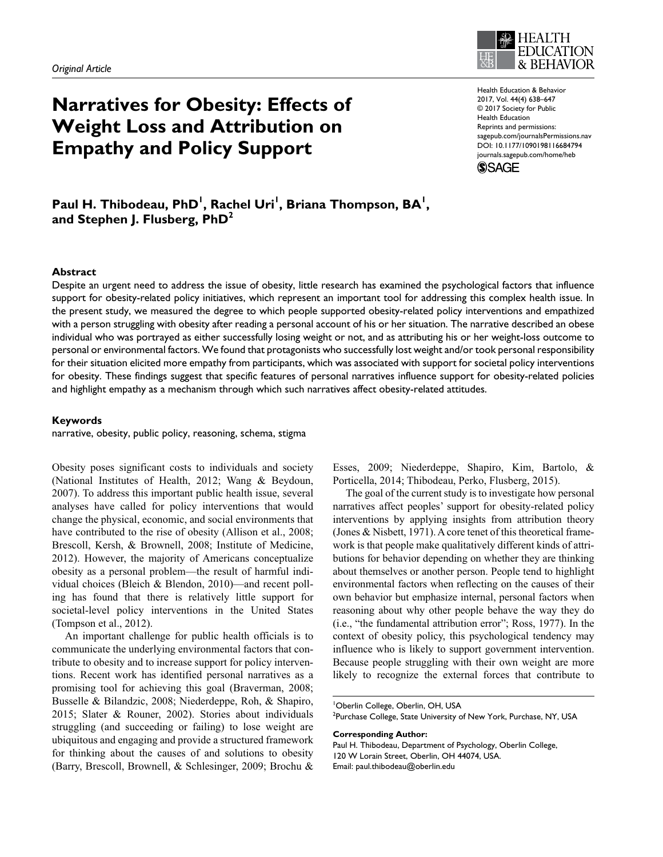# **Narratives for Obesity: Effects of Weight Loss and Attribution on Empathy and Policy Support**



Health Education & Behavior 2017, Vol. 44(4) 638–647 © 2017 Society for Public Health Education Reprints and permissions: [sagepub.com/journalsPermissions.nav](https://us.sagepub.com/en-us/journals-permissions) [DOI: 10.1177/1090198116684794](https://doi.org/10.1177/1090198116684794) [journals.sagepub.com/home/heb](https://journals.sagepub.com/home/heb)



# Paul H. Thibodeau, PhD<sup>I</sup>, Rachel Uri<sup>I</sup>, Briana Thompson, BA<sup>I</sup>, **and Stephen J. Flusberg, PhD2**

#### **Abstract**

Despite an urgent need to address the issue of obesity, little research has examined the psychological factors that influence support for obesity-related policy initiatives, which represent an important tool for addressing this complex health issue. In the present study, we measured the degree to which people supported obesity-related policy interventions and empathized with a person struggling with obesity after reading a personal account of his or her situation. The narrative described an obese individual who was portrayed as either successfully losing weight or not, and as attributing his or her weight-loss outcome to personal or environmental factors. We found that protagonists who successfully lost weight and/or took personal responsibility for their situation elicited more empathy from participants, which was associated with support for societal policy interventions for obesity. These findings suggest that specific features of personal narratives influence support for obesity-related policies and highlight empathy as a mechanism through which such narratives affect obesity-related attitudes.

#### **Keywords**

narrative, obesity, public policy, reasoning, schema, stigma

Obesity poses significant costs to individuals and society (National Institutes of Health, 2012; Wang & Beydoun, 2007). To address this important public health issue, several analyses have called for policy interventions that would change the physical, economic, and social environments that have contributed to the rise of obesity (Allison et al., 2008; Brescoll, Kersh, & Brownell, 2008; Institute of Medicine, 2012). However, the majority of Americans conceptualize obesity as a personal problem—the result of harmful individual choices (Bleich & Blendon, 2010)—and recent polling has found that there is relatively little support for societal-level policy interventions in the United States (Tompson et al., 2012).

An important challenge for public health officials is to communicate the underlying environmental factors that contribute to obesity and to increase support for policy interventions. Recent work has identified personal narratives as a promising tool for achieving this goal (Braverman, 2008; Busselle & Bilandzic, 2008; Niederdeppe, Roh, & Shapiro, 2015; Slater & Rouner, 2002). Stories about individuals struggling (and succeeding or failing) to lose weight are ubiquitous and engaging and provide a structured framework for thinking about the causes of and solutions to obesity (Barry, Brescoll, Brownell, & Schlesinger, 2009; Brochu &

Esses, 2009; Niederdeppe, Shapiro, Kim, Bartolo, & Porticella, 2014; Thibodeau, Perko, Flusberg, 2015).

The goal of the current study is to investigate how personal narratives affect peoples' support for obesity-related policy interventions by applying insights from attribution theory (Jones & Nisbett, 1971). A core tenet of this theoretical framework is that people make qualitatively different kinds of attributions for behavior depending on whether they are thinking about themselves or another person. People tend to highlight environmental factors when reflecting on the causes of their own behavior but emphasize internal, personal factors when reasoning about why other people behave the way they do (i.e., "the fundamental attribution error"; Ross, 1977). In the context of obesity policy, this psychological tendency may influence who is likely to support government intervention. Because people struggling with their own weight are more likely to recognize the external forces that contribute to

**Corresponding Author:**

Paul H. Thibodeau, Department of Psychology, Oberlin College, 120 W Lorain Street, Oberlin, OH 44074, USA. Email: [paul.thibodeau@oberlin.edu](mailto:paul.thibodeau@oberlin.edu)

<sup>1</sup> Oberlin College, Oberlin, OH, USA  $^{2}$ Purchase College, State University of New York, Purchase, NY, USA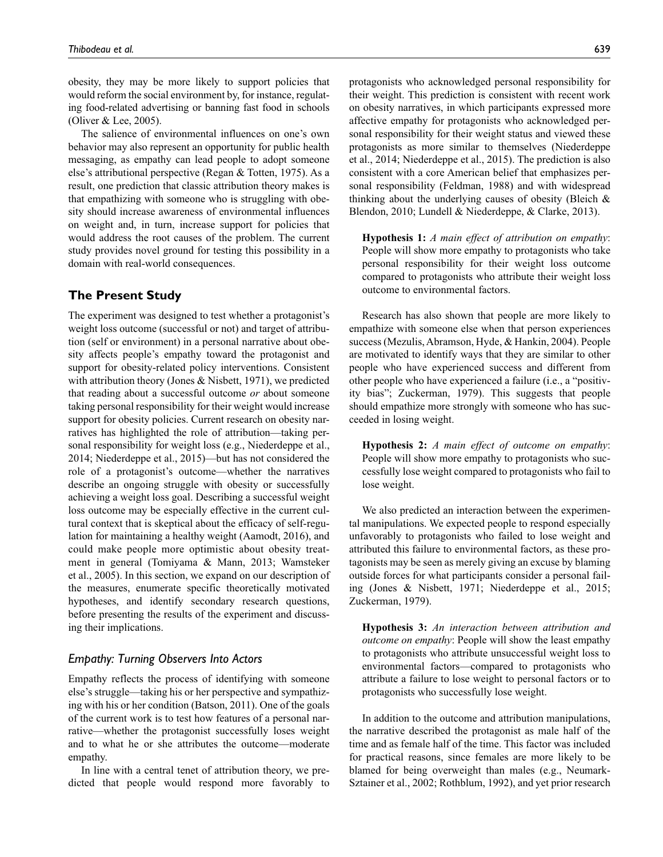obesity, they may be more likely to support policies that would reform the social environment by, for instance, regulating food-related advertising or banning fast food in schools (Oliver & Lee, 2005).

The salience of environmental influences on one's own behavior may also represent an opportunity for public health messaging, as empathy can lead people to adopt someone else's attributional perspective (Regan & Totten, 1975). As a result, one prediction that classic attribution theory makes is that empathizing with someone who is struggling with obesity should increase awareness of environmental influences on weight and, in turn, increase support for policies that would address the root causes of the problem. The current study provides novel ground for testing this possibility in a domain with real-world consequences.

# **The Present Study**

The experiment was designed to test whether a protagonist's weight loss outcome (successful or not) and target of attribution (self or environment) in a personal narrative about obesity affects people's empathy toward the protagonist and support for obesity-related policy interventions. Consistent with attribution theory (Jones & Nisbett, 1971), we predicted that reading about a successful outcome *or* about someone taking personal responsibility for their weight would increase support for obesity policies. Current research on obesity narratives has highlighted the role of attribution—taking personal responsibility for weight loss (e.g., Niederdeppe et al., 2014; Niederdeppe et al., 2015)—but has not considered the role of a protagonist's outcome—whether the narratives describe an ongoing struggle with obesity or successfully achieving a weight loss goal. Describing a successful weight loss outcome may be especially effective in the current cultural context that is skeptical about the efficacy of self-regulation for maintaining a healthy weight (Aamodt, 2016), and could make people more optimistic about obesity treatment in general (Tomiyama & Mann, 2013; Wamsteker et al., 2005). In this section, we expand on our description of the measures, enumerate specific theoretically motivated hypotheses, and identify secondary research questions, before presenting the results of the experiment and discussing their implications.

# *Empathy: Turning Observers Into Actors*

Empathy reflects the process of identifying with someone else's struggle—taking his or her perspective and sympathizing with his or her condition (Batson, 2011). One of the goals of the current work is to test how features of a personal narrative—whether the protagonist successfully loses weight and to what he or she attributes the outcome—moderate empathy.

In line with a central tenet of attribution theory, we predicted that people would respond more favorably to protagonists who acknowledged personal responsibility for their weight. This prediction is consistent with recent work on obesity narratives, in which participants expressed more affective empathy for protagonists who acknowledged personal responsibility for their weight status and viewed these protagonists as more similar to themselves (Niederdeppe et al., 2014; Niederdeppe et al., 2015). The prediction is also consistent with a core American belief that emphasizes personal responsibility (Feldman, 1988) and with widespread thinking about the underlying causes of obesity (Bleich & Blendon, 2010; Lundell & Niederdeppe, & Clarke, 2013).

**Hypothesis 1:** *A main effect of attribution on empathy*: People will show more empathy to protagonists who take personal responsibility for their weight loss outcome compared to protagonists who attribute their weight loss outcome to environmental factors.

Research has also shown that people are more likely to empathize with someone else when that person experiences success (Mezulis, Abramson, Hyde, & Hankin, 2004). People are motivated to identify ways that they are similar to other people who have experienced success and different from other people who have experienced a failure (i.e., a "positivity bias"; Zuckerman, 1979). This suggests that people should empathize more strongly with someone who has succeeded in losing weight.

**Hypothesis 2:** *A main effect of outcome on empathy*: People will show more empathy to protagonists who successfully lose weight compared to protagonists who fail to lose weight.

We also predicted an interaction between the experimental manipulations. We expected people to respond especially unfavorably to protagonists who failed to lose weight and attributed this failure to environmental factors, as these protagonists may be seen as merely giving an excuse by blaming outside forces for what participants consider a personal failing (Jones & Nisbett, 1971; Niederdeppe et al., 2015; Zuckerman, 1979).

**Hypothesis 3:** *An interaction between attribution and outcome on empathy*: People will show the least empathy to protagonists who attribute unsuccessful weight loss to environmental factors—compared to protagonists who attribute a failure to lose weight to personal factors or to protagonists who successfully lose weight.

In addition to the outcome and attribution manipulations, the narrative described the protagonist as male half of the time and as female half of the time. This factor was included for practical reasons, since females are more likely to be blamed for being overweight than males (e.g., Neumark-Sztainer et al., 2002; Rothblum, 1992), and yet prior research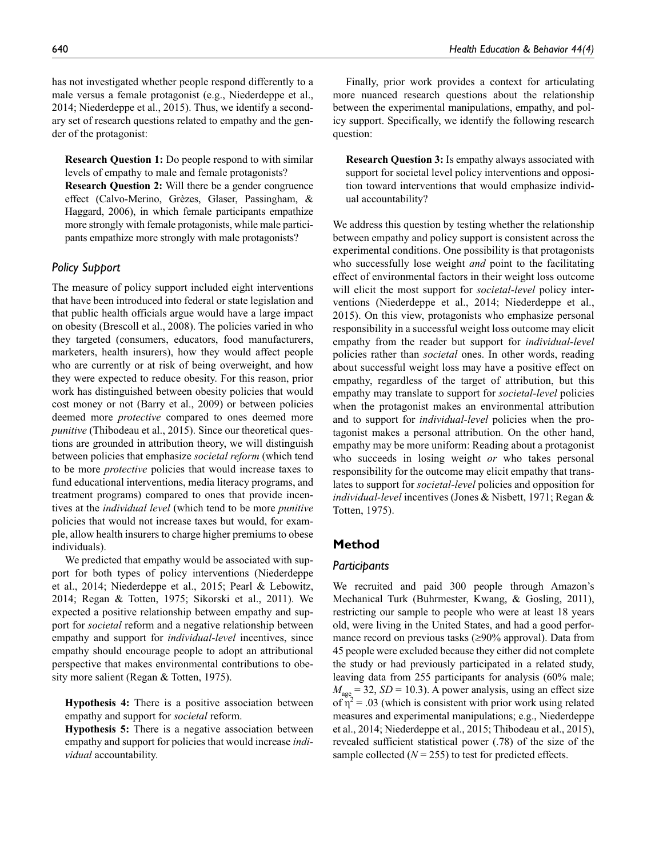has not investigated whether people respond differently to a male versus a female protagonist (e.g., Niederdeppe et al., 2014; Niederdeppe et al., 2015). Thus, we identify a secondary set of research questions related to empathy and the gender of the protagonist:

**Research Question 1:** Do people respond to with similar levels of empathy to male and female protagonists?

**Research Question 2:** Will there be a gender congruence effect (Calvo-Merino, Grèzes, Glaser, Passingham, & Haggard, 2006), in which female participants empathize more strongly with female protagonists, while male participants empathize more strongly with male protagonists?

# *Policy Support*

The measure of policy support included eight interventions that have been introduced into federal or state legislation and that public health officials argue would have a large impact on obesity (Brescoll et al., 2008). The policies varied in who they targeted (consumers, educators, food manufacturers, marketers, health insurers), how they would affect people who are currently or at risk of being overweight, and how they were expected to reduce obesity. For this reason, prior work has distinguished between obesity policies that would cost money or not (Barry et al., 2009) or between policies deemed more *protective* compared to ones deemed more *punitive* (Thibodeau et al., 2015). Since our theoretical questions are grounded in attribution theory, we will distinguish between policies that emphasize *societal reform* (which tend to be more *protective* policies that would increase taxes to fund educational interventions, media literacy programs, and treatment programs) compared to ones that provide incentives at the *individual level* (which tend to be more *punitive* policies that would not increase taxes but would, for example, allow health insurers to charge higher premiums to obese individuals).

We predicted that empathy would be associated with support for both types of policy interventions (Niederdeppe et al., 2014; Niederdeppe et al., 2015; Pearl & Lebowitz, 2014; Regan & Totten, 1975; Sikorski et al., 2011). We expected a positive relationship between empathy and support for *societal* reform and a negative relationship between empathy and support for *individual-level* incentives, since empathy should encourage people to adopt an attributional perspective that makes environmental contributions to obesity more salient (Regan & Totten, 1975).

**Hypothesis 4:** There is a positive association between empathy and support for *societal* reform.

**Hypothesis 5:** There is a negative association between empathy and support for policies that would increase *individual* accountability.

Finally, prior work provides a context for articulating more nuanced research questions about the relationship between the experimental manipulations, empathy, and policy support. Specifically, we identify the following research question:

**Research Question 3:** Is empathy always associated with support for societal level policy interventions and opposition toward interventions that would emphasize individual accountability?

We address this question by testing whether the relationship between empathy and policy support is consistent across the experimental conditions. One possibility is that protagonists who successfully lose weight *and* point to the facilitating effect of environmental factors in their weight loss outcome will elicit the most support for *societal-level* policy interventions (Niederdeppe et al., 2014; Niederdeppe et al., 2015). On this view, protagonists who emphasize personal responsibility in a successful weight loss outcome may elicit empathy from the reader but support for *individual-level* policies rather than *societal* ones. In other words, reading about successful weight loss may have a positive effect on empathy, regardless of the target of attribution, but this empathy may translate to support for *societal-level* policies when the protagonist makes an environmental attribution and to support for *individual-level* policies when the protagonist makes a personal attribution. On the other hand, empathy may be more uniform: Reading about a protagonist who succeeds in losing weight *or* who takes personal responsibility for the outcome may elicit empathy that translates to support for *societal-level* policies and opposition for *individual-level* incentives (Jones & Nisbett, 1971; Regan & Totten, 1975).

# **Method**

## *Participants*

We recruited and paid 300 people through Amazon's Mechanical Turk (Buhrmester, Kwang, & Gosling, 2011), restricting our sample to people who were at least 18 years old, were living in the United States, and had a good performance record on previous tasks (≥90% approval). Data from 45 people were excluded because they either did not complete the study or had previously participated in a related study, leaving data from 255 participants for analysis (60% male;  $M_{\text{age}} = 32$ , *SD* = 10.3). A power analysis, using an effect size of  $\eta^2$  = .03 (which is consistent with prior work using related measures and experimental manipulations; e.g., Niederdeppe et al., 2014; Niederdeppe et al., 2015; Thibodeau et al., 2015), revealed sufficient statistical power (.78) of the size of the sample collected  $(N = 255)$  to test for predicted effects.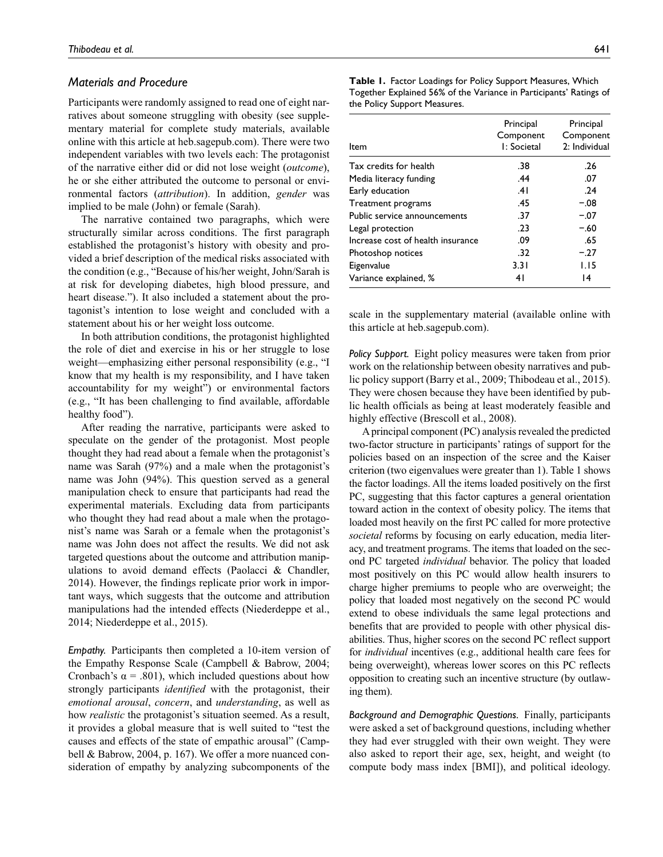## *Materials and Procedure*

Participants were randomly assigned to read one of eight narratives about someone struggling with obesity (see supplementary material for complete study materials, available online with this article at [heb.sagepub.com\)](http://heb.sagepub.com/supplemental). There were two independent variables with two levels each: The protagonist of the narrative either did or did not lose weight (*outcome*), he or she either attributed the outcome to personal or environmental factors (*attribution*). In addition, *gender* was implied to be male (John) or female (Sarah).

The narrative contained two paragraphs, which were structurally similar across conditions. The first paragraph established the protagonist's history with obesity and provided a brief description of the medical risks associated with the condition (e.g., "Because of his/her weight, John/Sarah is at risk for developing diabetes, high blood pressure, and heart disease."). It also included a statement about the protagonist's intention to lose weight and concluded with a statement about his or her weight loss outcome.

In both attribution conditions, the protagonist highlighted the role of diet and exercise in his or her struggle to lose weight—emphasizing either personal responsibility (e.g., "I know that my health is my responsibility, and I have taken accountability for my weight") or environmental factors (e.g., "It has been challenging to find available, affordable healthy food").

After reading the narrative, participants were asked to speculate on the gender of the protagonist. Most people thought they had read about a female when the protagonist's name was Sarah (97%) and a male when the protagonist's name was John (94%). This question served as a general manipulation check to ensure that participants had read the experimental materials. Excluding data from participants who thought they had read about a male when the protagonist's name was Sarah or a female when the protagonist's name was John does not affect the results. We did not ask targeted questions about the outcome and attribution manipulations to avoid demand effects (Paolacci & Chandler, 2014). However, the findings replicate prior work in important ways, which suggests that the outcome and attribution manipulations had the intended effects (Niederdeppe et al., 2014; Niederdeppe et al., 2015).

*Empathy.* Participants then completed a 10-item version of the Empathy Response Scale (Campbell & Babrow, 2004; Cronbach's  $\alpha$  = .801), which included questions about how strongly participants *identified* with the protagonist, their *emotional arousal*, *concern*, and *understanding*, as well as how *realistic* the protagonist's situation seemed. As a result, it provides a global measure that is well suited to "test the causes and effects of the state of empathic arousal" (Campbell & Babrow, 2004, p. 167). We offer a more nuanced consideration of empathy by analyzing subcomponents of the **Table 1.** Factor Loadings for Policy Support Measures, Which Together Explained 56% of the Variance in Participants' Ratings of the Policy Support Measures.

| ltem                              | Principal<br>Component<br>I: Societal | Principal<br>Component<br>2: Individual |
|-----------------------------------|---------------------------------------|-----------------------------------------|
| Tax credits for health            | .38                                   | .26                                     |
| Media literacy funding            | .44                                   | .07                                     |
| Early education                   | .41                                   | .24                                     |
| Treatment programs                | .45                                   | $-.08$                                  |
| Public service announcements      | .37                                   | $-.07$                                  |
| Legal protection                  | .23                                   | $-.60$                                  |
| Increase cost of health insurance | .09                                   | .65                                     |
| Photoshop notices                 | .32                                   | $-.27$                                  |
| Eigenvalue                        | 3.31                                  | 1.15                                    |
| Variance explained, %             | 41                                    | 14                                      |

scale in the supplementary material (available online with this article at [heb.sagepub.com](http://heb.sagepub.com/supplemental)).

*Policy Support.* Eight policy measures were taken from prior work on the relationship between obesity narratives and public policy support (Barry et al., 2009; Thibodeau et al., 2015). They were chosen because they have been identified by public health officials as being at least moderately feasible and highly effective (Brescoll et al., 2008).

A principal component (PC) analysis revealed the predicted two-factor structure in participants' ratings of support for the policies based on an inspection of the scree and the Kaiser criterion (two eigenvalues were greater than 1). Table 1 shows the factor loadings. All the items loaded positively on the first PC, suggesting that this factor captures a general orientation toward action in the context of obesity policy. The items that loaded most heavily on the first PC called for more protective *societal* reforms by focusing on early education, media literacy, and treatment programs. The items that loaded on the second PC targeted *individual* behavior. The policy that loaded most positively on this PC would allow health insurers to charge higher premiums to people who are overweight; the policy that loaded most negatively on the second PC would extend to obese individuals the same legal protections and benefits that are provided to people with other physical disabilities. Thus, higher scores on the second PC reflect support for *individual* incentives (e.g., additional health care fees for being overweight), whereas lower scores on this PC reflects opposition to creating such an incentive structure (by outlawing them).

*Background and Demographic Questions.* Finally, participants were asked a set of background questions, including whether they had ever struggled with their own weight. They were also asked to report their age, sex, height, and weight (to compute body mass index [BMI]), and political ideology.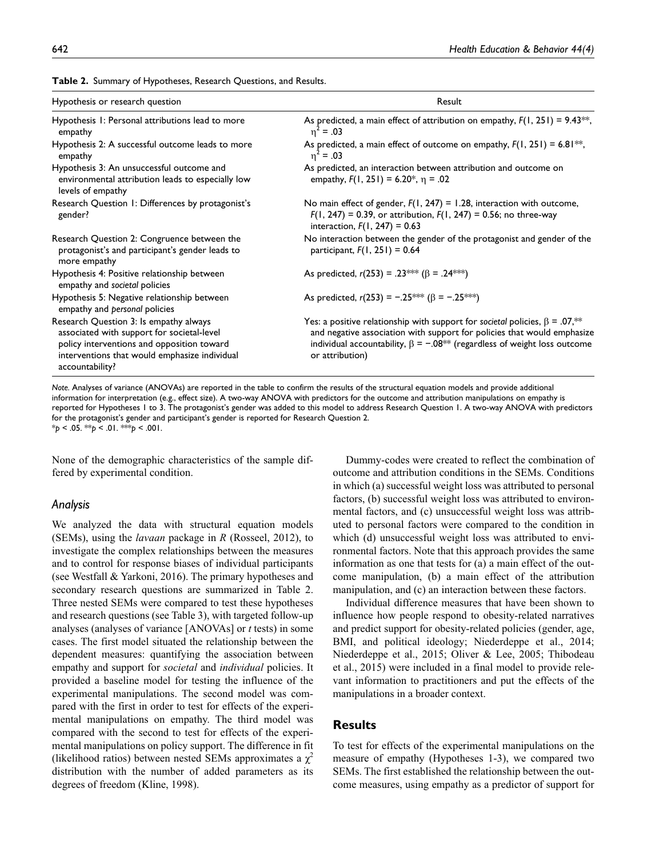| Hypothesis or research question                                                                                                                                                                        | Result                                                                                                                                                                                                                                                                |  |  |
|--------------------------------------------------------------------------------------------------------------------------------------------------------------------------------------------------------|-----------------------------------------------------------------------------------------------------------------------------------------------------------------------------------------------------------------------------------------------------------------------|--|--|
| Hypothesis 1: Personal attributions lead to more<br>empathy                                                                                                                                            | As predicted, a main effect of attribution on empathy, $F(1, 251) = 9.43**$ ,<br>$n^2 = .03$                                                                                                                                                                          |  |  |
| Hypothesis 2: A successful outcome leads to more<br>empathy                                                                                                                                            | As predicted, a main effect of outcome on empathy, $F(1, 251) = 6.81**$ ,<br>$n^2 = .03$                                                                                                                                                                              |  |  |
| Hypothesis 3: An unsuccessful outcome and<br>environmental attribution leads to especially low<br>levels of empathy                                                                                    | As predicted, an interaction between attribution and outcome on<br>empathy, $F(1, 251) = 6.20^*$ , $\eta = .02$                                                                                                                                                       |  |  |
| Research Question 1: Differences by protagonist's<br>gender?                                                                                                                                           | No main effect of gender, $F(1, 247) = 1.28$ , interaction with outcome,<br>$F(1, 247) = 0.39$ , or attribution, $F(1, 247) = 0.56$ ; no three-way<br>interaction, $F(1, 247) = 0.63$                                                                                 |  |  |
| Research Question 2: Congruence between the<br>protagonist's and participant's gender leads to<br>more empathy                                                                                         | No interaction between the gender of the protagonist and gender of the<br>participant, $F(1, 251) = 0.64$                                                                                                                                                             |  |  |
| Hypothesis 4: Positive relationship between<br>empathy and societal policies                                                                                                                           | As predicted, $r(253) = .23$ ** ( $\beta = .24$ ***)                                                                                                                                                                                                                  |  |  |
| Hypothesis 5: Negative relationship between<br>empathy and personal policies                                                                                                                           | As predicted, $r(253) = -.25^{***}$ ( $\beta = -.25^{***}$ )                                                                                                                                                                                                          |  |  |
| Research Question 3: Is empathy always<br>associated with support for societal-level<br>policy interventions and opposition toward<br>interventions that would emphasize individual<br>accountability? | Yes: a positive relationship with support for societal policies, $\beta = .07$ ,**<br>and negative association with support for policies that would emphasize<br>individual accountability, $\beta = -.08^{**}$ (regardless of weight loss outcome<br>or attribution) |  |  |

**Table 2.** Summary of Hypotheses, Research Questions, and Results.

*Note.* Analyses of variance (ANOVAs) are reported in the table to confirm the results of the structural equation models and provide additional information for interpretation (e.g., effect size). A two-way ANOVA with predictors for the outcome and attribution manipulations on empathy is reported for Hypotheses 1 to 3. The protagonist's gender was added to this model to address Research Question 1. A two-way ANOVA with predictors for the protagonist's gender and participant's gender is reported for Research Question 2. \**p* < .05. \*\**p* < .01. \*\*\**p* < .001.

None of the demographic characteristics of the sample differed by experimental condition.

#### *Analysis*

We analyzed the data with structural equation models (SEMs), using the *lavaan* package in *R* (Rosseel, 2012), to investigate the complex relationships between the measures and to control for response biases of individual participants (see Westfall & Yarkoni, 2016). The primary hypotheses and secondary research questions are summarized in Table 2. Three nested SEMs were compared to test these hypotheses and research questions (see Table 3), with targeted follow-up analyses (analyses of variance [ANOVAs] or *t* tests) in some cases. The first model situated the relationship between the dependent measures: quantifying the association between empathy and support for *societal* and *individual* policies. It provided a baseline model for testing the influence of the experimental manipulations. The second model was compared with the first in order to test for effects of the experimental manipulations on empathy. The third model was compared with the second to test for effects of the experimental manipulations on policy support. The difference in fit (likelihood ratios) between nested SEMs approximates a  $\chi^2$ distribution with the number of added parameters as its degrees of freedom (Kline, 1998).

Dummy-codes were created to reflect the combination of outcome and attribution conditions in the SEMs. Conditions in which (a) successful weight loss was attributed to personal factors, (b) successful weight loss was attributed to environmental factors, and (c) unsuccessful weight loss was attributed to personal factors were compared to the condition in which (d) unsuccessful weight loss was attributed to environmental factors. Note that this approach provides the same information as one that tests for (a) a main effect of the outcome manipulation, (b) a main effect of the attribution manipulation, and (c) an interaction between these factors.

Individual difference measures that have been shown to influence how people respond to obesity-related narratives and predict support for obesity-related policies (gender, age, BMI, and political ideology; Niederdeppe et al., 2014; Niederdeppe et al., 2015; Oliver & Lee, 2005; Thibodeau et al., 2015) were included in a final model to provide relevant information to practitioners and put the effects of the manipulations in a broader context.

# **Results**

To test for effects of the experimental manipulations on the measure of empathy (Hypotheses 1-3), we compared two SEMs. The first established the relationship between the outcome measures, using empathy as a predictor of support for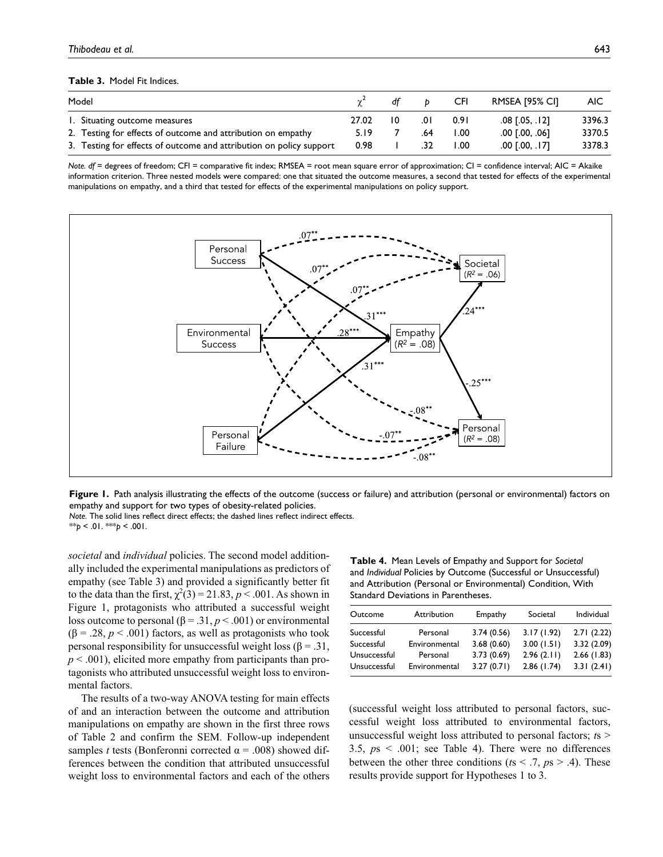**Table 3.** Model Fit Indices.

| Model                                                               |       | df |     | CFI   | RMSEA [95% CI]     | AIC.   |
|---------------------------------------------------------------------|-------|----|-----|-------|--------------------|--------|
| 1. Situating outcome measures                                       | 27.02 | 10 | .OI | 0.91  | .08 [.05, .12]     | 3396.3 |
| 2. Testing for effects of outcome and attribution on empathy        | 5.19  |    | .64 | 00. I | $.00$ $[.00, .06]$ | 3370.5 |
| 3. Testing for effects of outcome and attribution on policy support | 0.98  |    | .32 | I .OO | $.00$ [.00, .17]   | 3378.3 |

*Note. df* = degrees of freedom; CFI = comparative fit index; RMSEA = root mean square error of approximation; CI = confidence interval; AIC = Akaike information criterion. Three nested models were compared: one that situated the outcome measures, a second that tested for effects of the experimental manipulations on empathy, and a third that tested for effects of the experimental manipulations on policy support.



**Figure 1.** Path analysis illustrating the effects of the outcome (success or failure) and attribution (personal or environmental) factors on empathy and support for two types of obesity-related policies.

*Note.* The solid lines reflect direct effects; the dashed lines reflect indirect effects. \*\**p* < .01. \*\*\**p* < .001.

*societal* and *individual* policies. The second model additionally included the experimental manipulations as predictors of empathy (see Table 3) and provided a significantly better fit to the data than the first,  $\chi^2(3) = 21.83$ ,  $p < .001$ . As shown in Figure 1, protagonists who attributed a successful weight loss outcome to personal ( $β = .31, p < .001$ ) or environmental  $(\beta = .28, p < .001)$  factors, as well as protagonists who took personal responsibility for unsuccessful weight loss (β = .31,  $p < .001$ ), elicited more empathy from participants than protagonists who attributed unsuccessful weight loss to environmental factors.

The results of a two-way ANOVA testing for main effects of and an interaction between the outcome and attribution manipulations on empathy are shown in the first three rows of Table 2 and confirm the SEM. Follow-up independent samples *t* tests (Bonferonni corrected  $\alpha$  = .008) showed differences between the condition that attributed unsuccessful weight loss to environmental factors and each of the others

**Table 4.** Mean Levels of Empathy and Support for *Societal* and *Individual* Policies by Outcome (Successful or Unsuccessful) and Attribution (Personal or Environmental) Condition, With Standard Deviations in Parentheses.

| Outcome      | Attribution   | Empathy    | Societal   | Individual |
|--------------|---------------|------------|------------|------------|
| Successful   | Personal      | 3.74(0.56) | 3.17(1.92) | 2.71(2.22) |
| Successful   | Environmental | 3.68(0.60) | 3.00(1.51) | 3.32(2.09) |
| Unsuccessful | Personal      | 3.73(0.69) | 2.96(2.11) | 2.66(1.83) |
| Unsuccessful | Environmental | 3.27(0.71) | 2.86(1.74) | 3.31(2.41) |

(successful weight loss attributed to personal factors, successful weight loss attributed to environmental factors, unsuccessful weight loss attributed to personal factors; *t*s > 3.5, *p*s < .001; see Table 4). There were no differences between the other three conditions ( $ts < .7$ ,  $ps > .4$ ). These results provide support for Hypotheses 1 to 3.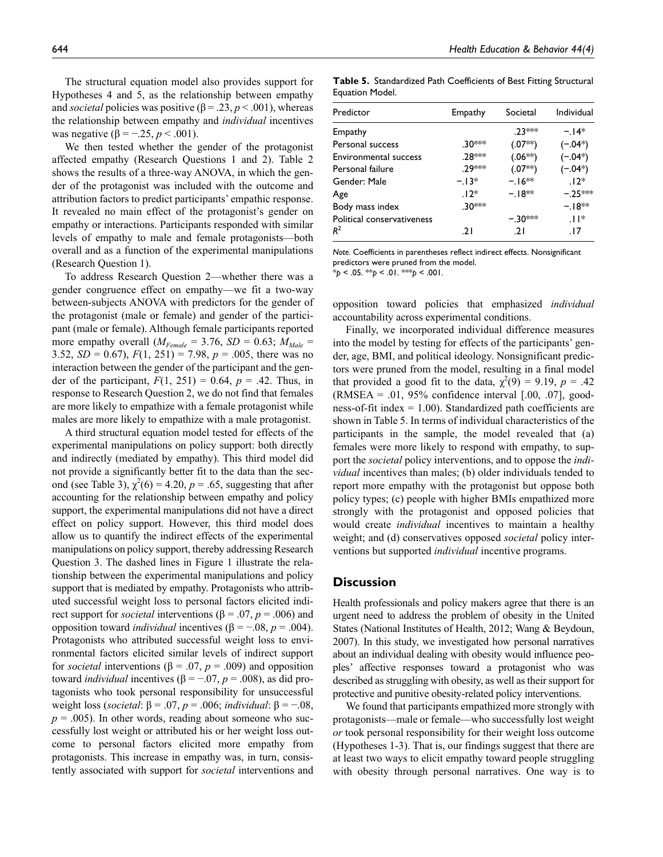The structural equation model also provides support for Hypotheses 4 and 5, as the relationship between empathy and *societal* policies was positive ( $\beta$  = .23,  $p$  < .001), whereas the relationship between empathy and *individual* incentives was negative (β = −.25, *p* < .001).

We then tested whether the gender of the protagonist affected empathy (Research Questions 1 and 2). Table 2 shows the results of a three-way ANOVA, in which the gender of the protagonist was included with the outcome and attribution factors to predict participants' empathic response. It revealed no main effect of the protagonist's gender on empathy or interactions. Participants responded with similar levels of empathy to male and female protagonists—both overall and as a function of the experimental manipulations (Research Question 1).

To address Research Question 2—whether there was a gender congruence effect on empathy—we fit a two-way between-subjects ANOVA with predictors for the gender of the protagonist (male or female) and gender of the participant (male or female). Although female participants reported more empathy overall  $(M_{Female} = 3.76, SD = 0.63; M_{Male} =$ 3.52,  $SD = 0.67$ ,  $F(1, 251) = 7.98$ ,  $p = .005$ , there was no interaction between the gender of the participant and the gender of the participant,  $F(1, 251) = 0.64$ ,  $p = .42$ . Thus, in response to Research Question 2, we do not find that females are more likely to empathize with a female protagonist while males are more likely to empathize with a male protagonist.

A third structural equation model tested for effects of the experimental manipulations on policy support: both directly and indirectly (mediated by empathy). This third model did not provide a significantly better fit to the data than the second (see Table 3),  $\chi^2(6) = 4.20$ ,  $p = .65$ , suggesting that after accounting for the relationship between empathy and policy support, the experimental manipulations did not have a direct effect on policy support. However, this third model does allow us to quantify the indirect effects of the experimental manipulations on policy support, thereby addressing Research Question 3. The dashed lines in Figure 1 illustrate the relationship between the experimental manipulations and policy support that is mediated by empathy. Protagonists who attributed successful weight loss to personal factors elicited indirect support for *societal* interventions (β = .07, *p* = .006) and opposition toward *individual* incentives (β = −.08, *p* = .004). Protagonists who attributed successful weight loss to environmental factors elicited similar levels of indirect support for *societal* interventions (β = .07, *p* = .009) and opposition toward *individual* incentives (β = −.07, *p* = .008), as did protagonists who took personal responsibility for unsuccessful weight loss (*societal*: β = .07, *p* = .006; *individual*: β = −.08,  $p = .005$ ). In other words, reading about someone who successfully lost weight or attributed his or her weight loss outcome to personal factors elicited more empathy from protagonists. This increase in empathy was, in turn, consistently associated with support for *societal* interventions and

**Table 5.** Standardized Path Coefficients of Best Fitting Structural Equation Model.

| Predictor                  | Empathy | Societal  | Individual |
|----------------------------|---------|-----------|------------|
| Empathy                    |         | $.23***$  | $-14*$     |
| Personal success           | .30***  | $(.07**)$ | $(-.04*)$  |
| Environmental success      | .28 *** | $(.06**)$ | $(-.04*)$  |
| Personal failure           | אי≭9    | $(.07**)$ | $(-.04*)$  |
| Gender: Male               | $-13*$  | $-16**$   | $.12*$     |
| Age                        | $.12*$  | $-18**$   | $-.25***$  |
| Body mass index            | .30***  |           | $-.18**$   |
| Political conservativeness |         | $-30***$  | $11*$      |
| $R^2$                      | .21     | .21       | . 17       |
|                            |         |           |            |

*Note.* Coefficients in parentheses reflect indirect effects. Nonsignificant predictors were pruned from the model.

\**p* < .05. \*\**p* < .01. \*\*\**p* < .001.

opposition toward policies that emphasized *individual* accountability across experimental conditions.

Finally, we incorporated individual difference measures into the model by testing for effects of the participants' gender, age, BMI, and political ideology. Nonsignificant predictors were pruned from the model, resulting in a final model that provided a good fit to the data,  $\chi^2(9) = 9.19$ ,  $p = .42$ (RMSEA = .01, 95% confidence interval  $[.00, .07]$ , goodness-of-fit index  $= 1.00$ ). Standardized path coefficients are shown in Table 5. In terms of individual characteristics of the participants in the sample, the model revealed that (a) females were more likely to respond with empathy, to support the *societal* policy interventions, and to oppose the *individual* incentives than males; (b) older individuals tended to report more empathy with the protagonist but oppose both policy types; (c) people with higher BMIs empathized more strongly with the protagonist and opposed policies that would create *individual* incentives to maintain a healthy weight; and (d) conservatives opposed *societal* policy interventions but supported *individual* incentive programs.

## **Discussion**

Health professionals and policy makers agree that there is an urgent need to address the problem of obesity in the United States (National Institutes of Health, 2012; Wang & Beydoun, 2007). In this study, we investigated how personal narratives about an individual dealing with obesity would influence peoples' affective responses toward a protagonist who was described as struggling with obesity, as well as their support for protective and punitive obesity-related policy interventions.

We found that participants empathized more strongly with protagonists—male or female—who successfully lost weight *or* took personal responsibility for their weight loss outcome (Hypotheses 1-3). That is, our findings suggest that there are at least two ways to elicit empathy toward people struggling with obesity through personal narratives. One way is to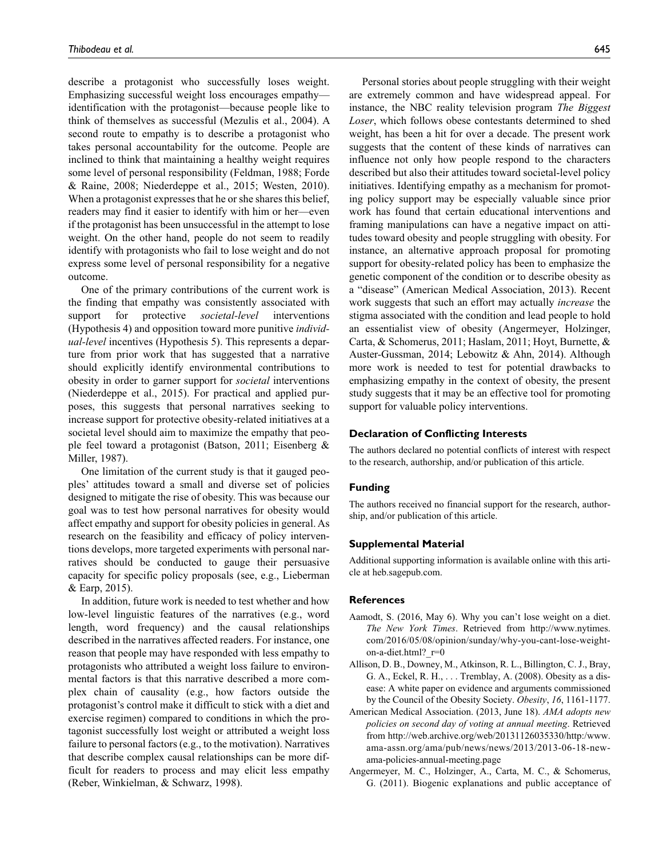describe a protagonist who successfully loses weight. Emphasizing successful weight loss encourages empathy identification with the protagonist—because people like to think of themselves as successful (Mezulis et al., 2004). A second route to empathy is to describe a protagonist who takes personal accountability for the outcome. People are inclined to think that maintaining a healthy weight requires some level of personal responsibility (Feldman, 1988; Forde & Raine, 2008; Niederdeppe et al., 2015; Westen, 2010). When a protagonist expresses that he or she shares this belief, readers may find it easier to identify with him or her—even if the protagonist has been unsuccessful in the attempt to lose weight. On the other hand, people do not seem to readily identify with protagonists who fail to lose weight and do not express some level of personal responsibility for a negative outcome.

One of the primary contributions of the current work is the finding that empathy was consistently associated with support for protective *societal-level* interventions (Hypothesis 4) and opposition toward more punitive *individual-level* incentives (Hypothesis 5). This represents a departure from prior work that has suggested that a narrative should explicitly identify environmental contributions to obesity in order to garner support for *societal* interventions (Niederdeppe et al., 2015). For practical and applied purposes, this suggests that personal narratives seeking to increase support for protective obesity-related initiatives at a societal level should aim to maximize the empathy that people feel toward a protagonist (Batson, 2011; Eisenberg & Miller, 1987).

One limitation of the current study is that it gauged peoples' attitudes toward a small and diverse set of policies designed to mitigate the rise of obesity. This was because our goal was to test how personal narratives for obesity would affect empathy and support for obesity policies in general. As research on the feasibility and efficacy of policy interventions develops, more targeted experiments with personal narratives should be conducted to gauge their persuasive capacity for specific policy proposals (see, e.g., Lieberman & Earp, 2015).

In addition, future work is needed to test whether and how low-level linguistic features of the narratives (e.g., word length, word frequency) and the causal relationships described in the narratives affected readers. For instance, one reason that people may have responded with less empathy to protagonists who attributed a weight loss failure to environmental factors is that this narrative described a more complex chain of causality (e.g., how factors outside the protagonist's control make it difficult to stick with a diet and exercise regimen) compared to conditions in which the protagonist successfully lost weight or attributed a weight loss failure to personal factors (e.g., to the motivation). Narratives that describe complex causal relationships can be more difficult for readers to process and may elicit less empathy (Reber, Winkielman, & Schwarz, 1998).

Personal stories about people struggling with their weight are extremely common and have widespread appeal. For instance, the NBC reality television program *The Biggest Loser*, which follows obese contestants determined to shed weight, has been a hit for over a decade. The present work suggests that the content of these kinds of narratives can influence not only how people respond to the characters described but also their attitudes toward societal-level policy initiatives. Identifying empathy as a mechanism for promoting policy support may be especially valuable since prior work has found that certain educational interventions and framing manipulations can have a negative impact on attitudes toward obesity and people struggling with obesity. For instance, an alternative approach proposal for promoting support for obesity-related policy has been to emphasize the genetic component of the condition or to describe obesity as a "disease" (American Medical Association, 2013). Recent work suggests that such an effort may actually *increase* the stigma associated with the condition and lead people to hold an essentialist view of obesity (Angermeyer, Holzinger, Carta, & Schomerus, 2011; Haslam, 2011; Hoyt, Burnette, & Auster-Gussman, 2014; Lebowitz & Ahn, 2014). Although more work is needed to test for potential drawbacks to emphasizing empathy in the context of obesity, the present study suggests that it may be an effective tool for promoting support for valuable policy interventions.

#### **Declaration of Conflicting Interests**

The authors declared no potential conflicts of interest with respect to the research, authorship, and/or publication of this article.

#### **Funding**

The authors received no financial support for the research, authorship, and/or publication of this article.

#### **Supplemental Material**

Additional supporting information is available online with this article at [heb.sagepub.com](http://heb.sagepub.com/supplemental).

#### **References**

- Aamodt, S. (2016, May 6). Why you can't lose weight on a diet. *The New York Times*. Retrieved from [http://www.nytimes.](http://www.nytimes.com/2016/05/08/opinion/sunday/why-you-cant-lose-weight-on-a-diet.html?_r=0) [com/2016/05/08/opinion/sunday/why-you-cant-lose-weight](http://www.nytimes.com/2016/05/08/opinion/sunday/why-you-cant-lose-weight-on-a-diet.html?_r=0)[on-a-diet.html?\\_r=0](http://www.nytimes.com/2016/05/08/opinion/sunday/why-you-cant-lose-weight-on-a-diet.html?_r=0)
- Allison, D. B., Downey, M., Atkinson, R. L., Billington, C. J., Bray, G. A., Eckel, R. H., . . . Tremblay, A. (2008). Obesity as a disease: A white paper on evidence and arguments commissioned by the Council of the Obesity Society. *Obesity*, *16*, 1161-1177.
- American Medical Association. (2013, June 18). *AMA adopts new policies on second day of voting at annual meeting*. Retrieved from [http://web.archive.org/web/20131126035330/http:/www.](http://web.archive.org/web/20131126035330/http:/www.ama-assn.org/ama/pub/news/news/2013/2013-06-18-new-ama-policies-annual-meeting.page) [ama-assn.org/ama/pub/news/news/2013/2013-06-18-new](http://web.archive.org/web/20131126035330/http:/www.ama-assn.org/ama/pub/news/news/2013/2013-06-18-new-ama-policies-annual-meeting.page)[ama-policies-annual-meeting.page](http://web.archive.org/web/20131126035330/http:/www.ama-assn.org/ama/pub/news/news/2013/2013-06-18-new-ama-policies-annual-meeting.page)
- Angermeyer, M. C., Holzinger, A., Carta, M. C., & Schomerus, G. (2011). Biogenic explanations and public acceptance of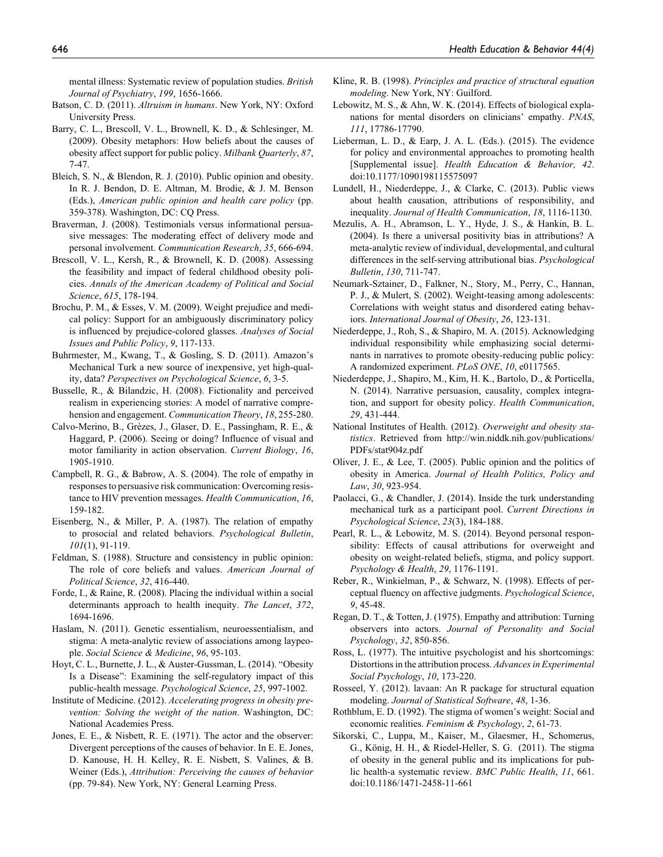- Batson, C. D. (2011). *Altruism in humans*. New York, NY: Oxford University Press.
- Barry, C. L., Brescoll, V. L., Brownell, K. D., & Schlesinger, M. (2009). Obesity metaphors: How beliefs about the causes of obesity affect support for public policy. *Milbank Quarterly*, *87*, 7-47.
- Bleich, S. N., & Blendon, R. J. (2010). Public opinion and obesity. In R. J. Bendon, D. E. Altman, M. Brodie, & J. M. Benson (Eds.), *American public opinion and health care policy* (pp. 359-378). Washington, DC: CQ Press.
- Braverman, J. (2008). Testimonials versus informational persuasive messages: The moderating effect of delivery mode and personal involvement. *Communication Research*, *35*, 666-694.
- Brescoll, V. L., Kersh, R., & Brownell, K. D. (2008). Assessing the feasibility and impact of federal childhood obesity policies. *Annals of the American Academy of Political and Social Science*, *615*, 178-194.
- Brochu, P. M., & Esses, V. M. (2009). Weight prejudice and medical policy: Support for an ambiguously discriminatory policy is influenced by prejudice-colored glasses. *Analyses of Social Issues and Public Policy*, *9*, 117-133.
- Buhrmester, M., Kwang, T., & Gosling, S. D. (2011). Amazon's Mechanical Turk a new source of inexpensive, yet high-quality, data? *Perspectives on Psychological Science*, *6*, 3-5.
- Busselle, R., & Bilandzic, H. (2008). Fictionality and perceived realism in experiencing stories: A model of narrative comprehension and engagement. *Communication Theory*, *18*, 255-280.
- Calvo-Merino, B., Grèzes, J., Glaser, D. E., Passingham, R. E., & Haggard, P. (2006). Seeing or doing? Influence of visual and motor familiarity in action observation. *Current Biology*, *16*, 1905-1910.
- Campbell, R. G., & Babrow, A. S. (2004). The role of empathy in responses to persuasive risk communication: Overcoming resistance to HIV prevention messages. *Health Communication*, *16*, 159-182.
- Eisenberg, N., & Miller, P. A. (1987). The relation of empathy to prosocial and related behaviors. *Psychological Bulletin*, *101*(1), 91-119.
- Feldman, S. (1988). Structure and consistency in public opinion: The role of core beliefs and values. *American Journal of Political Science*, *32*, 416-440.
- Forde, I., & Raine, R. (2008). Placing the individual within a social determinants approach to health inequity. *The Lancet*, *372*, 1694-1696.
- Haslam, N. (2011). Genetic essentialism, neuroessentialism, and stigma: A meta-analytic review of associations among laypeople. *Social Science & Medicine*, *96*, 95-103.
- Hoyt, C. L., Burnette, J. L., & Auster-Gussman, L. (2014). "Obesity Is a Disease": Examining the self-regulatory impact of this public-health message. *Psychological Science*, *25*, 997-1002.
- Institute of Medicine. (2012). *Accelerating progress in obesity prevention: Solving the weight of the nation*. Washington, DC: National Academies Press.
- Jones, E. E., & Nisbett, R. E. (1971). The actor and the observer: Divergent perceptions of the causes of behavior. In E. E. Jones, D. Kanouse, H. H. Kelley, R. E. Nisbett, S. Valines, & B. Weiner (Eds.), *Attribution: Perceiving the causes of behavior* (pp. 79-84). New York, NY: General Learning Press.
- Kline, R. B. (1998). *Principles and practice of structural equation modeling*. New York, NY: Guilford.
- Lebowitz, M. S., & Ahn, W. K. (2014). Effects of biological explanations for mental disorders on clinicians' empathy. *PNAS*, *111*, 17786-17790.
- Lieberman, L. D., & Earp, J. A. L. (Eds.). (2015). The evidence for policy and environmental approaches to promoting health [Supplemental issue]. *Health Education & Behavior, 42*. doi:10.1177/1090198115575097
- Lundell, H., Niederdeppe, J., & Clarke, C. (2013). Public views about health causation, attributions of responsibility, and inequality. *Journal of Health Communication*, *18*, 1116-1130.
- Mezulis, A. H., Abramson, L. Y., Hyde, J. S., & Hankin, B. L. (2004). Is there a universal positivity bias in attributions? A meta-analytic review of individual, developmental, and cultural differences in the self-serving attributional bias. *Psychological Bulletin*, *130*, 711-747.
- Neumark-Sztainer, D., Falkner, N., Story, M., Perry, C., Hannan, P. J., & Mulert, S. (2002). Weight-teasing among adolescents: Correlations with weight status and disordered eating behaviors. *International Journal of Obesity*, *26*, 123-131.
- Niederdeppe, J., Roh, S., & Shapiro, M. A. (2015). Acknowledging individual responsibility while emphasizing social determinants in narratives to promote obesity-reducing public policy: A randomized experiment. *PLoS ONE*, *10*, e0117565.
- Niederdeppe, J., Shapiro, M., Kim, H. K., Bartolo, D., & Porticella, N. (2014). Narrative persuasion, causality, complex integration, and support for obesity policy. *Health Communication*, *29*, 431-444.
- National Institutes of Health. (2012). *Overweight and obesity statistics*. Retrieved from [http://win.niddk.nih.gov/publications/](http://win.niddk.nih.gov/publications/PDFs/stat904z.pdf) [PDFs/stat904z.pdf](http://win.niddk.nih.gov/publications/PDFs/stat904z.pdf)
- Oliver, J. E., & Lee, T. (2005). Public opinion and the politics of obesity in America. *Journal of Health Politics, Policy and Law*, *30*, 923-954.
- Paolacci, G., & Chandler, J. (2014). Inside the turk understanding mechanical turk as a participant pool. *Current Directions in Psychological Science*, *23*(3), 184-188.
- Pearl, R. L., & Lebowitz, M. S. (2014). Beyond personal responsibility: Effects of causal attributions for overweight and obesity on weight-related beliefs, stigma, and policy support. *Psychology & Health*, *29*, 1176-1191.
- Reber, R., Winkielman, P., & Schwarz, N. (1998). Effects of perceptual fluency on affective judgments. *Psychological Science*, *9*, 45-48.
- Regan, D. T., & Totten, J. (1975). Empathy and attribution: Turning observers into actors. *Journal of Personality and Social Psychology*, *32*, 850-856.
- Ross, L. (1977). The intuitive psychologist and his shortcomings: Distortions in the attribution process. *Advances in Experimental Social Psychology*, *10*, 173-220.
- Rosseel, Y. (2012). lavaan: An R package for structural equation modeling. *Journal of Statistical Software*, *48*, 1-36.
- Rothblum, E. D. (1992). The stigma of women's weight: Social and economic realities. *Feminism & Psychology*, *2*, 61-73.
- Sikorski, C., Luppa, M., Kaiser, M., Glaesmer, H., Schomerus, G., König, H. H., & Riedel-Heller, S. G. (2011). The stigma of obesity in the general public and its implications for public health-a systematic review. *BMC Public Health*, *11*, 661. doi:10.1186/1471-2458-11-661